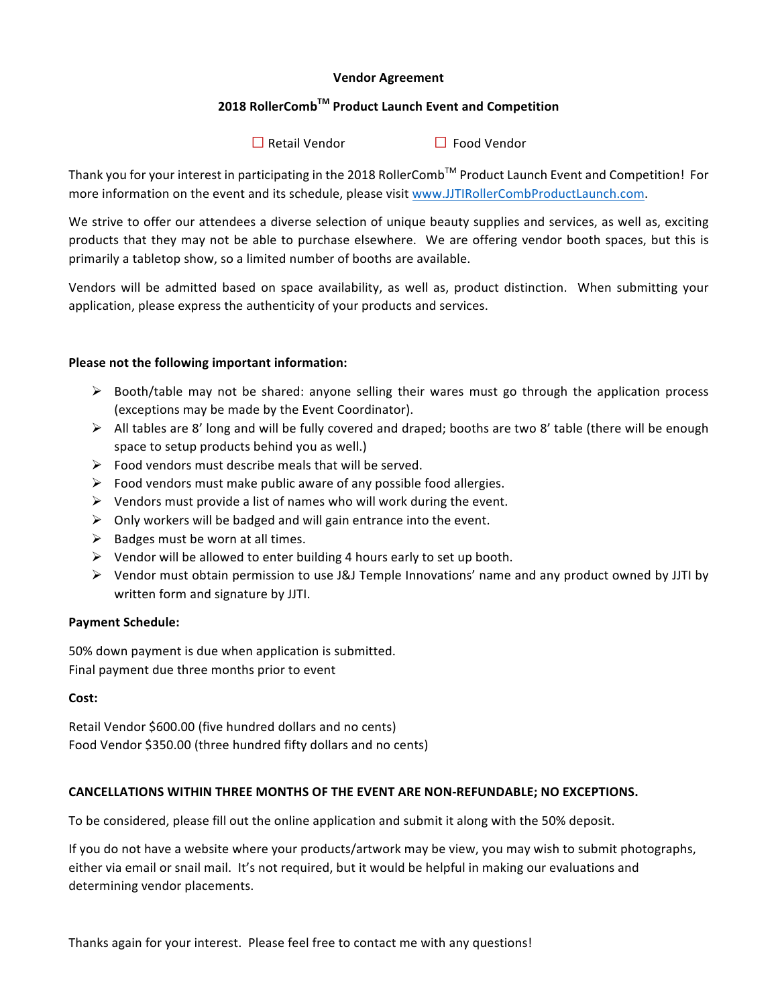## **Vendor Agreement**

# **2018 RollerCombTM Product Launch Event and Competition**

**□**Retail Vendor **□** Food Vendor

Thank you for your interest in participating in the 2018 RollerComb™ Product Launch Event and Competition! For more information on the event and its schedule, please visit www.JJTIRollerCombProductLaunch.com.

We strive to offer our attendees a diverse selection of unique beauty supplies and services, as well as, exciting products that they may not be able to purchase elsewhere. We are offering vendor booth spaces, but this is primarily a tabletop show, so a limited number of booths are available.

Vendors will be admitted based on space availability, as well as, product distinction. When submitting your application, please express the authenticity of your products and services.

## Please not the following important information:

- $\triangleright$  Booth/table may not be shared: anyone selling their wares must go through the application process (exceptions may be made by the Event Coordinator).
- $\triangleright$  All tables are 8' long and will be fully covered and draped; booths are two 8' table (there will be enough space to setup products behind you as well.)
- $\triangleright$  Food vendors must describe meals that will be served.
- $\triangleright$  Food vendors must make public aware of any possible food allergies.
- $\triangleright$  Vendors must provide a list of names who will work during the event.
- $\triangleright$  Only workers will be badged and will gain entrance into the event.
- $\triangleright$  Badges must be worn at all times.
- $\triangleright$  Vendor will be allowed to enter building 4 hours early to set up booth.
- $\triangleright$  Vendor must obtain permission to use J&J Temple Innovations' name and any product owned by JJTI by written form and signature by JJTI.

#### **Payment Schedule:**

50% down payment is due when application is submitted. Final payment due three months prior to event

#### **Cost:**

Retail Vendor \$600.00 (five hundred dollars and no cents) Food Vendor \$350.00 (three hundred fifty dollars and no cents)

## CANCELLATIONS WITHIN THREE MONTHS OF THE EVENT ARE NON-REFUNDABLE; NO EXCEPTIONS.

To be considered, please fill out the online application and submit it along with the 50% deposit.

If you do not have a website where your products/artwork may be view, you may wish to submit photographs, either via email or snail mail. It's not required, but it would be helpful in making our evaluations and determining vendor placements.